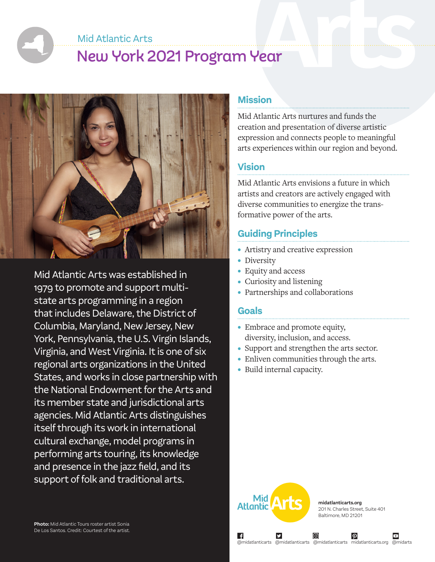## Mid Atlantic Arts

# New York 2021 Program Year



Mid Atlantic Arts was established in 1979 to promote and support multistate arts programming in a region that includes Delaware, the District of Columbia, Maryland, New Jersey, New York, Pennsylvania, the U.S. Virgin Islands, Virginia, and West Virginia. It is one of six regional arts organizations in the United States, and works in close partnership with the National Endowment for the Arts and its member state and jurisdictional arts agencies. Mid Atlantic Arts distinguishes itself through its work in international cultural exchange, model programs in performing arts touring, its knowledge and presence in the jazz field, and its support of folk and traditional arts.

## **Mission**

Mid Atlantic Arts nurtures and funds the creation and presentation of diverse artistic expression and connects people to meaningful arts experiences within our region and beyond.

# **Vision**

Mid Atlantic Arts envisions a future in which artists and creators are actively engaged with diverse communities to energize the transformative power of the arts.

# **Guiding Principles**

- Artistry and creative expression
- Diversity
- Equity and access
- Curiosity and listening
- Partnerships and collaborations

# **Goals**

- Embrace and promote equity, diversity, inclusion, and access.
- Support and strengthen the arts sector.
- Enliven communities through the arts.
- Build internal capacity.



∣ f

**midatlanticarts.org** 201 N. Charles Street, Suite 401 Baltimore, MD 21201

 $\boldsymbol{\mathcal{P}}$ 

@midatlanticarts @midatlanticarts @midatlanticarts midatlanticarts.org @midarts

ල)

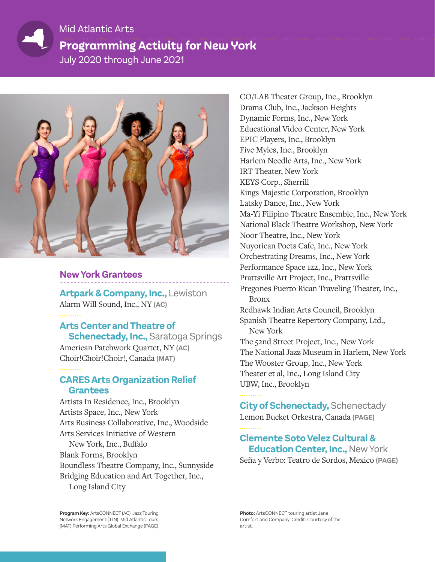## Mid Atlantic Arts

# **Programming Activity for New York** July 2020 through June 2021



## **New York Grantees**

**Artpark & Company, Inc.,** Lewiston Alarm Will Sound, Inc., NY **(AC)**

# **Arts Center and Theatre of**

**Schenectady, Inc., Saratoga Springs** American Patchwork Quartet, NY **(AC)** Choir!Choir!Choir!, Canada **(MAT)**

# . . . . . . . . . .

## **CARES Arts Organization Relief Grantees**

Artists In Residence, Inc., Brooklyn Artists Space, Inc., New York Arts Business Collaborative, Inc., Woodside Arts Services Initiative of Western New York, Inc., Buffalo Blank Forms, Brooklyn Boundless Theatre Company, Inc., Sunnyside Bridging Education and Art Together, Inc., Long Island City

CO/LAB Theater Group, Inc., Brooklyn Drama Club, Inc., Jackson Heights Dynamic Forms, Inc., New York Educational Video Center, New York EPIC Players, Inc., Brooklyn Five Myles, Inc., Brooklyn Harlem Needle Arts, Inc., New York IRT Theater, New York KEYS Corp., Sherrill Kings Majestic Corporation, Brooklyn Latsky Dance, Inc., New York Ma-Yi Filipino Theatre Ensemble, Inc., New York National Black Theatre Workshop, New York Noor Theatre, Inc., New York Nuyorican Poets Cafe, Inc., New York Orchestrating Dreams, Inc., New York Performance Space 122, Inc., New York Prattsville Art Project, Inc., Prattsville Pregones Puerto Rican Traveling Theater, Inc., Bronx Redhawk Indian Arts Council, Brooklyn Spanish Theatre Repertory Company, Ltd., New York The 52nd Street Project, Inc., New York The National Jazz Museum in Harlem, New York The Wooster Group, Inc., New York Theater et al, Inc., Long Island City UBW, Inc., Brooklyn . . . . . . . . . .

# **City of Schenectady,** Schenectady Lemon Bucket Orkestra, Canada **(PAGE)**

## **Clemente Soto Velez Cultural & Education Center, Inc.,** New York Seña y Verbo: Teatro de Sordos, Mexico **(PAGE)**

**Program Key:** ArtsCONNECT (AC) Jazz Touring Network Engagement (JTN) Mid Atlantic Tours (MAT) Performing Arts Global Exchange (PAGE)

**Photo:** ArtsCONNECT touring artist Jane Comfort and Company. Credit: Courtesy of the artist.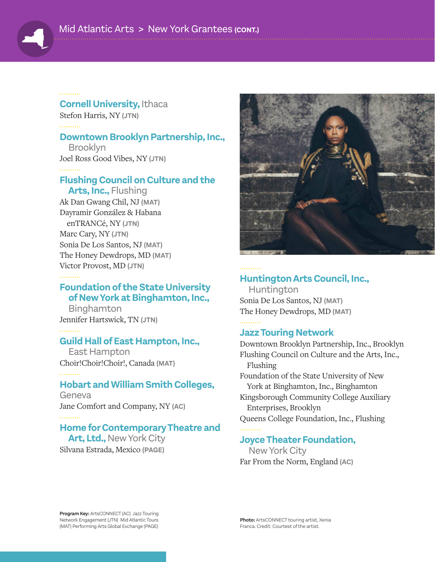

**Cornell University, Ithaca** Stefon Harris, NY **(JTN)**

## **Downtown Brooklyn Partnership, Inc.,**

Brooklyn Joel Ross Good Vibes, NY **(JTN)**

# **Flushing Council on Culture and the**

 **Arts, Inc.,** Flushing Ak Dan Gwang Chil, NJ **(MAT)** Dayramir González & Habana enTRANCé, NY **(JTN)** Marc Cary, NY **(JTN)** Sonia De Los Santos, NJ **(MAT)** The Honey Dewdrops, MD **(MAT)** Victor Provost, MD **(JTN)**

## **Foundation of the State University of New York at Binghamton, Inc.,**

Binghamton Jennifer Hartswick, TN **(JTN)**

## **Guild Hall of East Hampton, Inc.,**

East Hampton Choir!Choir!Choir!, Canada **(MAT)**

## **Hobart and William Smith Colleges,**

Geneva Jane Comfort and Company, NY **(AC)**

## **Home for Contemporary Theatre and**

 **Art, Ltd.,** New York City Silvana Estrada, Mexico **(PAGE)**



## **Huntington Arts Council, Inc.,**

Huntington Sonia De Los Santos, NJ **(MAT)** The Honey Dewdrops, MD **(MAT)**

## **Jazz Touring Network**

Downtown Brooklyn Partnership, Inc., Brooklyn Flushing Council on Culture and the Arts, Inc., Flushing Foundation of the State University of New York at Binghamton, Inc., Binghamton Kingsborough Community College Auxiliary Enterprises, Brooklyn Queens College Foundation, Inc., Flushing

## **Joyce Theater Foundation,**

New York City Far From the Norm, England **(AC)**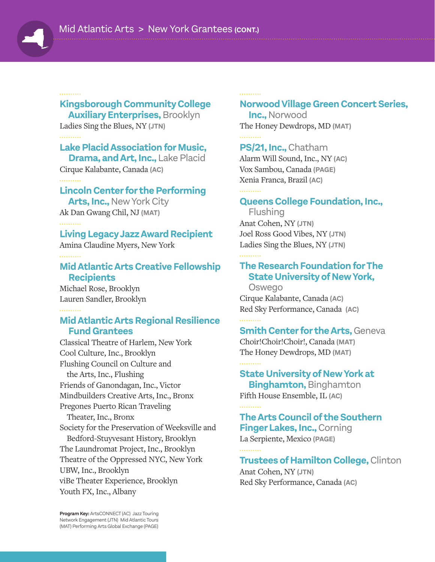

# **Kingsborough Community College Auxiliary Enterprises,** Brooklyn

Ladies Sing the Blues, NY **(JTN)** . . . . . . . . . .

# **Lake Placid Association for Music,**

 **Drama, and Art, Inc.,** Lake Placid Cirque Kalabante, Canada **(AC)**

# **Lincoln Center for the Performing**

 **Arts, Inc.,** New York City Ak Dan Gwang Chil, NJ **(MAT)**

## **Living Legacy Jazz Award Recipient** Amina Claudine Myers, New York . . . . . . . . . .

# **Mid Atlantic Arts Creative Fellowship Recipients**

Michael Rose, Brooklyn Lauren Sandler, Brooklyn

# **Mid Atlantic Arts Regional Resilience Fund Grantees**

Classical Theatre of Harlem, New York Cool Culture, Inc., Brooklyn Flushing Council on Culture and the Arts, Inc., Flushing Friends of Ganondagan, Inc., Victor Mindbuilders Creative Arts, Inc., Bronx Pregones Puerto Rican Traveling Theater, Inc., Bronx Society for the Preservation of Weeksville and Bedford-Stuyvesant History, Brooklyn The Laundromat Project, Inc., Brooklyn Theatre of the Oppressed NYC, New York UBW, Inc., Brooklyn viBe Theater Experience, Brooklyn Youth FX, Inc., Albany

# **Norwood Village Green Concert Series,**

 **Inc.,** Norwood The Honey Dewdrops, MD **(MAT)** . . . . . . . . . .

## **PS/21, Inc.,** Chatham

Alarm Will Sound, Inc., NY **(AC)** Vox Sambou, Canada **(PAGE)** Xenia Franca, Brazil **(AC)**

# **Queens College Foundation, Inc.,**

Flushing Anat Cohen, NY **(JTN)** Joel Ross Good Vibes, NY **(JTN)** Ladies Sing the Blues, NY **(JTN)** . . . . . . . . . .

# **The Research Foundation for The State University of New York,**

Oswego Cirque Kalabante, Canada **(AC)** Red Sky Performance, Canada **(AC)**

# **Smith Center for the Arts, Geneva** Choir!Choir!Choir!, Canada **(MAT)** The Honey Dewdrops, MD **(MAT)**

# **State University of New York at Binghamton,** Binghamton

Fifth House Ensemble, IL **(AC)**

# **The Arts Council of the Southern Finger Lakes, Inc.,** Corning La Serpiente, Mexico **(PAGE)**

# **Trustees of Hamilton College,** Clinton

Anat Cohen, NY **(JTN)** Red Sky Performance, Canada **(AC)**

**Program Key:** ArtsCONNECT (AC) Jazz Touring Network Engagement (JTN) Mid Atlantic Tours (MAT) Performing Arts Global Exchange (PAGE)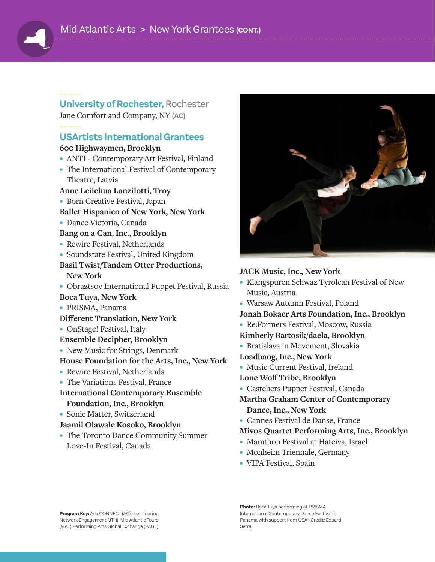

**University of Rochester,** Rochester Jane Comfort and Company, NY **(AC)**

# **USArtists International Grantees**

## **600 Highwaymen, Brooklyn**

- ANTI Contemporary Art Festival, Finland
- The International Festival of Contemporary Theatre, Latvia
- **Anne Leilehua Lanzilotti, Troy**
- Born Creative Festival, Japan

## **Ballet Hispanico of New York, New York**

- Dance Victoria, Canada
- **Bang on a Can, Inc., Brooklyn**
- Rewire Festival, Netherlands
- Soundstate Festival, United Kingdom

## **Basil Twist/Tandem Otter Productions, New York**

- Obraztsov International Puppet Festival, Russia **Boca Tuya, New York**
- PRISMA, Panama
- **Different Translation, New York**
- OnStage! Festival, Italy

## **Ensemble Decipher, Brooklyn**

- New Music for Strings, Denmark
- **House Foundation for the Arts, Inc., New York**
- Rewire Festival, Netherlands
- The Variations Festival, France
- **International Contemporary Ensemble Foundation, Inc., Brooklyn**
- Sonic Matter, Switzerland

## **Jaamil Olawale Kosoko, Brooklyn**

• The Toronto Dance Community Summer Love-In Festival, Canada



## **JACK Music, Inc., New York**

- Klangspuren Schwaz Tyrolean Festival of New Music, Austria
- Warsaw Autumn Festival, Poland
- **Jonah Bokaer Arts Foundation, Inc., Brooklyn**
- Re:Formers Festival, Moscow, Russia
- **Kimberly Bartosik/daela, Brooklyn**
- Bratislava in Movement, Slovakia

**Loadbang, Inc., New York**

• Music Current Festival, Ireland

## **Lone Wolf Tribe, Brooklyn**

- Casteliers Puppet Festival, Canada
- **Martha Graham Center of Contemporary Dance, Inc., New York**
- Cannes Festival de Danse, France

## **Mivos Quartet Performing Arts, Inc., Brooklyn**

- Marathon Festival at Hateiva, Israel
- Monheim Triennale, Germany
- VIPA Festival, Spain

**Program Key:** ArtsCONNECT (AC) Jazz Touring Network Engagement (JTN) Mid Atlantic Tours (MAT) Performing Arts Global Exchange (PAGE) **Photo:** Boca Tuya performing at PRISMA International Contemporary Dance Festival in Panama with support from USAI. Credit: Eduard Serra.